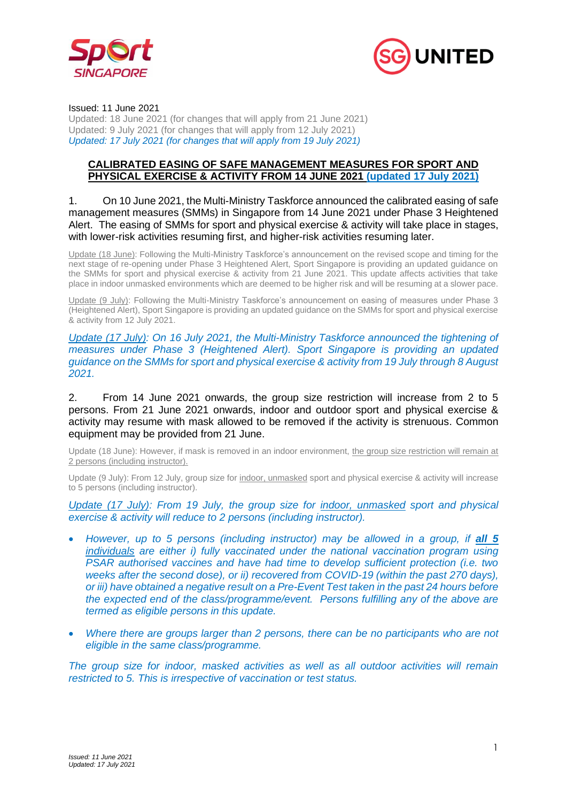



#### Issued: 11 June 2021

Updated: 18 June 2021 (for changes that will apply from 21 June 2021) Updated: 9 July 2021 (for changes that will apply from 12 July 2021) *Updated: 17 July 2021 (for changes that will apply from 19 July 2021)*

#### **CALIBRATED EASING OF SAFE MANAGEMENT MEASURES FOR SPORT AND PHYSICAL EXERCISE & ACTIVITY FROM 14 JUNE 2021 (updated 17 July 2021)**

#### 1. On 10 June 2021, the Multi-Ministry Taskforce announced the calibrated easing of safe management measures (SMMs) in Singapore from 14 June 2021 under Phase 3 Heightened Alert. The easing of SMMs for sport and physical exercise & activity will take place in stages, with lower-risk activities resuming first, and higher-risk activities resuming later.

Update (18 June): Following the Multi-Ministry Taskforce's announcement on the revised scope and timing for the next stage of re-opening under Phase 3 Heightened Alert, Sport Singapore is providing an updated guidance on the SMMs for sport and physical exercise & activity from 21 June 2021. This update affects activities that take place in indoor unmasked environments which are deemed to be higher risk and will be resuming at a slower pace.

Update (9 July): Following the Multi-Ministry Taskforce's announcement on easing of measures under Phase 3 (Heightened Alert), Sport Singapore is providing an updated guidance on the SMMs for sport and physical exercise & activity from 12 July 2021.

*Update (17 July): On 16 July 2021, the Multi-Ministry Taskforce announced the tightening of measures under Phase 3 (Heightened Alert). Sport Singapore is providing an updated guidance on the SMMs for sport and physical exercise & activity from 19 July through 8 August 2021.* 

2. From 14 June 2021 onwards, the group size restriction will increase from 2 to 5 persons. From 21 June 2021 onwards, indoor and outdoor sport and physical exercise & activity may resume with mask allowed to be removed if the activity is strenuous. Common equipment may be provided from 21 June.

Update (18 June): However, if mask is removed in an indoor environment, the group size restriction will remain at 2 persons (including instructor).

Update (9 July): From 12 July, group size for indoor, unmasked sport and physical exercise & activity will increase to 5 persons (including instructor).

*Update (17 July): From 19 July, the group size for indoor, unmasked sport and physical exercise & activity will reduce to 2 persons (including instructor).* 

- *However, up to 5 persons (including instructor) may be allowed in a group, if all 5 individuals are either i) fully vaccinated under the national vaccination program using PSAR authorised vaccines and have had time to develop sufficient protection (i.e. two weeks after the second dose), or ii) recovered from COVID-19 (within the past 270 days), or iii) have obtained a negative result on a Pre-Event Test taken in the past 24 hours before the expected end of the class/programme/event. Persons fulfilling any of the above are termed as eligible persons in this update.*
- *Where there are groups larger than 2 persons, there can be no participants who are not eligible in the same class/programme.*

*The group size for indoor, masked activities as well as all outdoor activities will remain restricted to 5. This is irrespective of vaccination or test status.*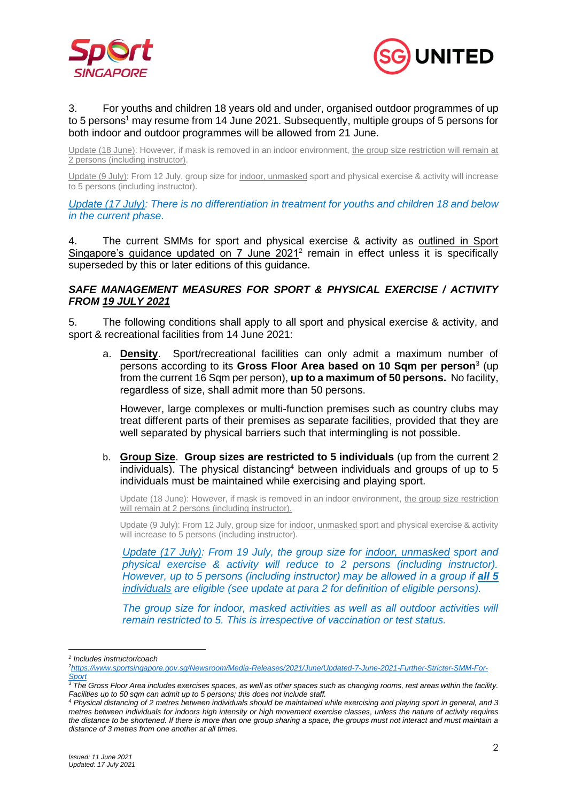



#### 3. For youths and children 18 years old and under, organised outdoor programmes of up to 5 persons<sup>1</sup> may resume from 14 June 2021. Subsequently, multiple groups of 5 persons for both indoor and outdoor programmes will be allowed from 21 June.

Update (18 June): However, if mask is removed in an indoor environment, the group size restriction will remain at 2 persons (including instructor).

Update (9 July): From 12 July, group size for indoor, unmasked sport and physical exercise & activity will increase to 5 persons (including instructor).

*Update (17 July): There is no differentiation in treatment for youths and children 18 and below in the current phase.* 

4. The current SMMs for sport and physical exercise & activity as outlined in Sport Singapore's guidance updated on 7 June 2021<sup>2</sup> remain in effect unless it is specifically superseded by this or later editions of this guidance.

## *SAFE MANAGEMENT MEASURES FOR SPORT & PHYSICAL EXERCISE / ACTIVITY FROM 19 JULY 2021*

5. The following conditions shall apply to all sport and physical exercise & activity, and sport & recreational facilities from 14 June 2021:

a. **Density**. Sport/recreational facilities can only admit a maximum number of persons according to its **Gross Floor Area based on 10 Sqm per person**<sup>3</sup> (up from the current 16 Sqm per person), **up to a maximum of 50 persons.** No facility, regardless of size, shall admit more than 50 persons.

However, large complexes or multi-function premises such as country clubs may treat different parts of their premises as separate facilities, provided that they are well separated by physical barriers such that intermingling is not possible.

b. **Group Size**. **Group sizes are restricted to 5 individuals** (up from the current 2 individuals). The physical distancing<sup>4</sup> between individuals and groups of up to 5 individuals must be maintained while exercising and playing sport.

Update (18 June): However, if mask is removed in an indoor environment, the group size restriction will remain at 2 persons (including instructor).

Update (9 July): From 12 July, group size for indoor, unmasked sport and physical exercise & activity will increase to 5 persons (including instructor).

*Update (17 July): From 19 July, the group size for indoor, unmasked sport and physical exercise & activity will reduce to 2 persons (including instructor). However, up to 5 persons (including instructor) may be allowed in a group if all 5 individuals are eligible (see update at para 2 for definition of eligible persons).* 

*The group size for indoor, masked activities as well as all outdoor activities will remain restricted to 5. This is irrespective of vaccination or test status.* 

*<sup>1</sup> Includes instructor/coach*

*<sup>2</sup>[https://www.sportsingapore.gov.sg/Newsroom/Media-Releases/2021/June/Updated-7-June-2021-Further-Stricter-SMM-For-](https://www.sportsingapore.gov.sg/Newsroom/Media-Releases/2021/June/Updated-7-June-2021-Further-Stricter-SMM-For-Sport)[Sport](https://www.sportsingapore.gov.sg/Newsroom/Media-Releases/2021/June/Updated-7-June-2021-Further-Stricter-SMM-For-Sport)*

*<sup>3</sup> The Gross Floor Area includes exercises spaces, as well as other spaces such as changing rooms, rest areas within the facility. Facilities up to 50 sqm can admit up to 5 persons; this does not include staff.* 

*<sup>4</sup> Physical distancing of 2 metres between individuals should be maintained while exercising and playing sport in general, and 3 metres between individuals for indoors high intensity or high movement exercise classes, unless the nature of activity requires the distance to be shortened. If there is more than one group sharing a space, the groups must not interact and must maintain a distance of 3 metres from one another at all times.*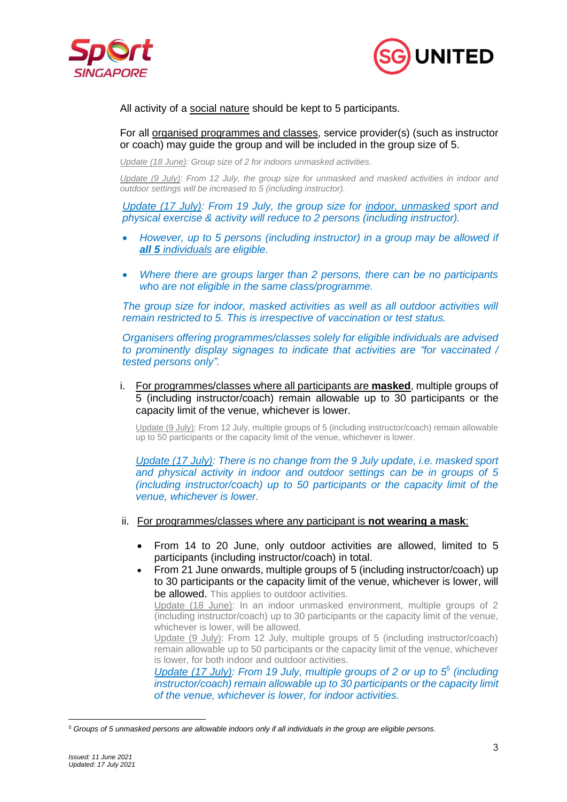



All activity of a social nature should be kept to 5 participants.

For all organised programmes and classes, service provider(s) (such as instructor or coach) may guide the group and will be included in the group size of 5.

*Update (18 June): Group size of 2 for indoors unmasked activities.*

*Update (9 July): From 12 July, the group size for unmasked and masked activities in indoor and outdoor settings will be increased to 5 (including instructor).*

*Update (17 July): From 19 July, the group size for indoor, unmasked sport and physical exercise & activity will reduce to 2 persons (including instructor).* 

- *However, up to 5 persons (including instructor) in a group may be allowed if all 5 individuals are eligible.*
- *Where there are groups larger than 2 persons, there can be no participants who are not eligible in the same class/programme.*

The group size for indoor, masked activities as well as all outdoor activities will *remain restricted to 5. This is irrespective of vaccination or test status.* 

*Organisers offering programmes/classes solely for eligible individuals are advised to prominently display signages to indicate that activities are "for vaccinated / tested persons only".*

i. For programmes/classes where all participants are **masked**, multiple groups of 5 (including instructor/coach) remain allowable up to 30 participants or the capacity limit of the venue, whichever is lower.

Update (9 July): From 12 July, multiple groups of 5 (including instructor/coach) remain allowable up to 50 participants or the capacity limit of the venue, whichever is lower.

*Update (17 July): There is no change from the 9 July update, i.e. masked sport and physical activity in indoor and outdoor settings can be in groups of 5 (including instructor/coach) up to 50 participants or the capacity limit of the venue, whichever is lower.* 

- ii. For programmes/classes where any participant is **not wearing a mask**:
	- From 14 to 20 June, only outdoor activities are allowed, limited to 5 participants (including instructor/coach) in total.
	- From 21 June onwards, multiple groups of 5 (including instructor/coach) up to 30 participants or the capacity limit of the venue, whichever is lower, will be allowed. This applies to outdoor activities. Update (18 June): In an indoor unmasked environment, multiple groups of 2 (including instructor/coach) up to 30 participants or the capacity limit of the venue, whichever is lower, will be allowed. Update (9 July): From 12 July, multiple groups of 5 (including instructor/coach) remain allowable up to 50 participants or the capacity limit of the venue, whichever is lower, for both indoor and outdoor activities.

*Update (17 July): From 19 July, multiple groups of 2 or up to 5 5 (including instructor/coach) remain allowable up to 30 participants or the capacity limit of the venue, whichever is lower, for indoor activities.*

*<sup>5</sup> Groups of 5 unmasked persons are allowable indoors only if all individuals in the group are eligible persons.*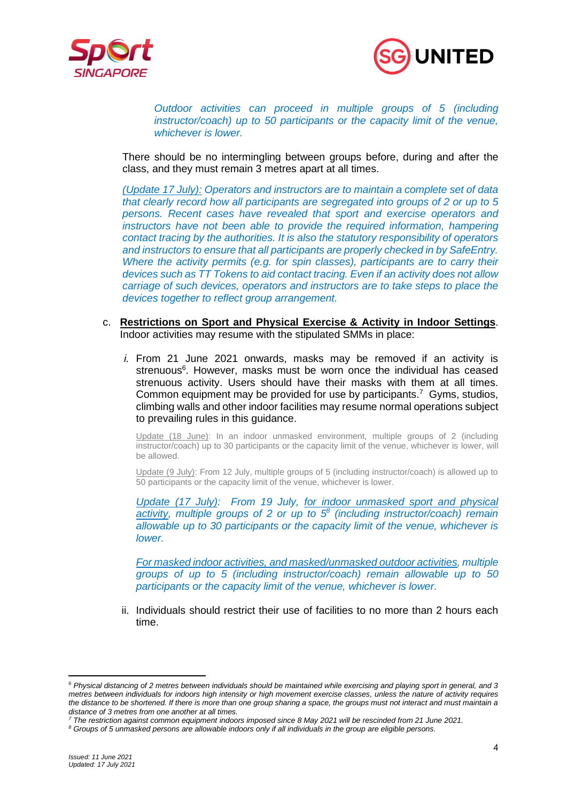



*Outdoor activities can proceed in multiple groups of 5 (including instructor/coach) up to 50 participants or the capacity limit of the venue, whichever is lower.*

There should be no intermingling between groups before, during and after the class, and they must remain 3 metres apart at all times.

*(Update 17 July): Operators and instructors are to maintain a complete set of data that clearly record how all participants are segregated into groups of 2 or up to 5 persons. Recent cases have revealed that sport and exercise operators and instructors have not been able to provide the required information, hampering contact tracing by the authorities. It is also the statutory responsibility of operators and instructors to ensure that all participants are properly checked in by SafeEntry. Where the activity permits (e.g. for spin classes), participants are to carry their devices such as TT Tokens to aid contact tracing. Even if an activity does not allow carriage of such devices, operators and instructors are to take steps to place the devices together to reflect group arrangement.*

- c. **Restrictions on Sport and Physical Exercise & Activity in Indoor Settings**. Indoor activities may resume with the stipulated SMMs in place:
	- *i.* From 21 June 2021 onwards, masks may be removed if an activity is strenuous<sup>6</sup>. However, masks must be worn once the individual has ceased strenuous activity. Users should have their masks with them at all times. Common equipment may be provided for use by participants. 7 Gyms, studios, climbing walls and other indoor facilities may resume normal operations subject to prevailing rules in this guidance.

Update (18 June): In an indoor unmasked environment, multiple groups of 2 (including instructor/coach) up to 30 participants or the capacity limit of the venue, whichever is lower, will be allowed.

Update (9 July): From 12 July, multiple groups of 5 (including instructor/coach) is allowed up to 50 participants or the capacity limit of the venue, whichever is lower.

*Update (17 July): From 19 July, for indoor unmasked sport and physical activity, multiple groups of 2 or up to 5 8 (including instructor/coach) remain allowable up to 30 participants or the capacity limit of the venue, whichever is lower.*

*For masked indoor activities, and masked/unmasked outdoor activities, multiple groups of up to 5 (including instructor/coach) remain allowable up to 50 participants or the capacity limit of the venue, whichever is lower.*

ii. Individuals should restrict their use of facilities to no more than 2 hours each time.

*<sup>6</sup> Physical distancing of 2 metres between individuals should be maintained while exercising and playing sport in general, and 3 metres between individuals for indoors high intensity or high movement exercise classes, unless the nature of activity requires the distance to be shortened. If there is more than one group sharing a space, the groups must not interact and must maintain a distance of 3 metres from one another at all times.*

*<sup>7</sup> The restriction against common equipment indoors imposed since 8 May 2021 will be rescinded from 21 June 2021.*

*<sup>8</sup> Groups of 5 unmasked persons are allowable indoors only if all individuals in the group are eligible persons.*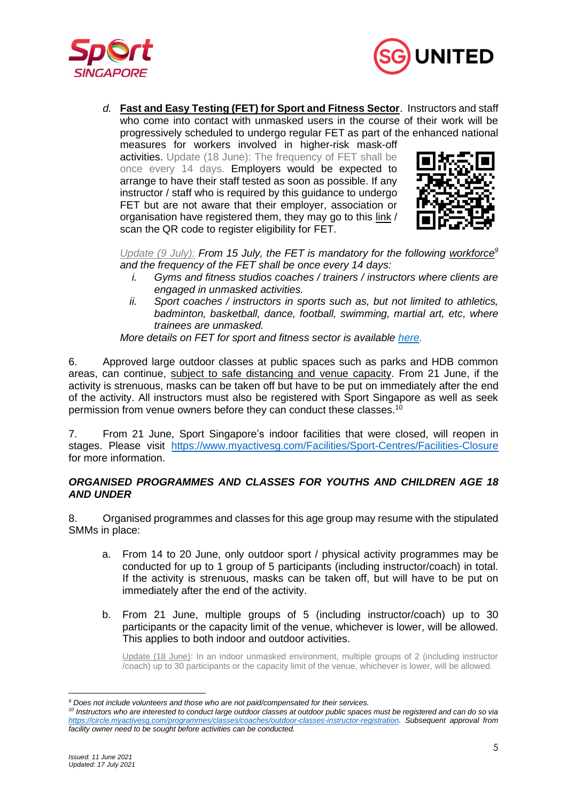



*d.* **Fast and Easy Testing (FET) for Sport and Fitness Sector**. Instructors and staff who come into contact with unmasked users in the course of their work will be progressively scheduled to undergo regular FET as part of the enhanced national measures for workers involved in higher-risk mask-off activities. Update (18 June): The frequency of FET shall be once every 14 days. Employers would be expected to arrange to have their staff tested as soon as possible. If any

instructor / staff who is required by this guidance to undergo FET but are not aware that their employer, association or organisation have registered them, they may go to this [link](https://form.gov.sg/#!/60d2eda300843b0012baaf2c) / scan the QR code to register eligibility for FET.



*Update (9 July): From 15 July, the FET is mandatory for the following workforce<sup>9</sup> and the frequency of the FET shall be once every 14 days:*

- *i. Gyms and fitness studios coaches / trainers / instructors where clients are engaged in unmasked activities.*
- *ii.* Sport coaches / instructors in sports such as, but not limited to athletics, *badminton, basketball, dance, football, swimming, martial art, etc, where trainees are unmasked.*

*More details on FET for sport and fitness sector is available [here.](https://www.myactivesg.com/read/2021/7/a-safe-and-gradual-resumption-of-sport-and-fitness-activities-with-mandatory-fast-and-easy-testing)*

6. Approved large outdoor classes at public spaces such as parks and HDB common areas, can continue, subject to safe distancing and venue capacity. From 21 June, if the activity is strenuous, masks can be taken off but have to be put on immediately after the end of the activity. All instructors must also be registered with Sport Singapore as well as seek permission from venue owners before they can conduct these classes.<sup>10</sup>

7. From 21 June, Sport Singapore's indoor facilities that were closed, will reopen in stages. Please visit <https://www.myactivesg.com/Facilities/Sport-Centres/Facilities-Closure> for more information.

### *ORGANISED PROGRAMMES AND CLASSES FOR YOUTHS AND CHILDREN AGE 18 AND UNDER*

8. Organised programmes and classes for this age group may resume with the stipulated SMMs in place:

- a. From 14 to 20 June, only outdoor sport / physical activity programmes may be conducted for up to 1 group of 5 participants (including instructor/coach) in total. If the activity is strenuous, masks can be taken off, but will have to be put on immediately after the end of the activity.
- b. From 21 June, multiple groups of 5 (including instructor/coach) up to 30 participants or the capacity limit of the venue, whichever is lower, will be allowed. This applies to both indoor and outdoor activities.

Update (18 June): In an indoor unmasked environment, multiple groups of 2 (including instructor /coach) up to 30 participants or the capacity limit of the venue, whichever is lower, will be allowed.

*<sup>9</sup> Does not include volunteers and those who are not paid/compensated for their services.*

*<sup>10</sup> Instructors who are interested to conduct large outdoor classes at outdoor public spaces must be registered and can do so via [https://circle.myactivesg.com/programmes/classes/coaches/outdoor-classes-instructor-registration.](https://circle.myactivesg.com/programmes/classes/coaches/outdoor-classes-instructor-registration) Subsequent approval from facility owner need to be sought before activities can be conducted.*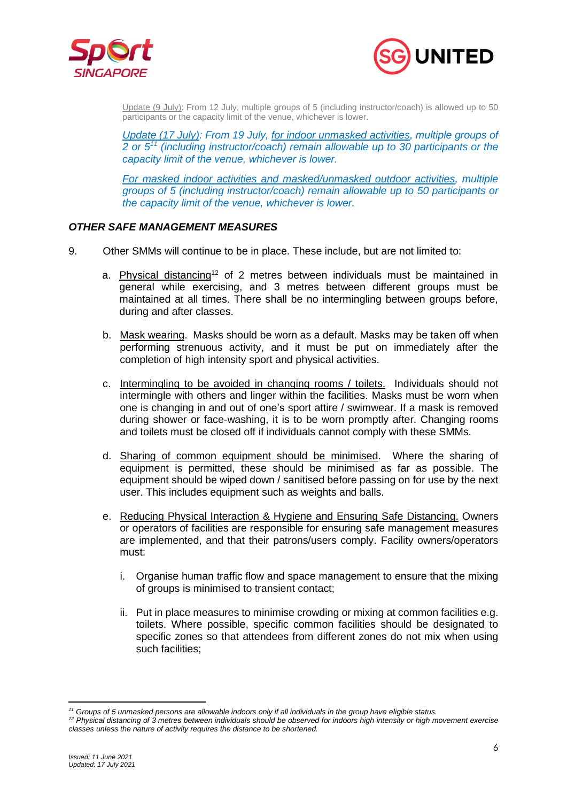



Update (9 July): From 12 July, multiple groups of 5 (including instructor/coach) is allowed up to 50 participants or the capacity limit of the venue, whichever is lower.

*Update (17 July): From 19 July, for indoor unmasked activities, multiple groups of 2 or 5<sup>11</sup> (including instructor/coach) remain allowable up to 30 participants or the capacity limit of the venue, whichever is lower.*

*For masked indoor activities and masked/unmasked outdoor activities, multiple groups of 5 (including instructor/coach) remain allowable up to 50 participants or the capacity limit of the venue, whichever is lower.*

## *OTHER SAFE MANAGEMENT MEASURES*

- 9. Other SMMs will continue to be in place. These include, but are not limited to:
	- a. Physical distancing<sup>12</sup> of 2 metres between individuals must be maintained in general while exercising, and 3 metres between different groups must be maintained at all times. There shall be no intermingling between groups before, during and after classes.
	- b. Mask wearing. Masks should be worn as a default. Masks may be taken off when performing strenuous activity, and it must be put on immediately after the completion of high intensity sport and physical activities.
	- c. Intermingling to be avoided in changing rooms / toilets. Individuals should not intermingle with others and linger within the facilities. Masks must be worn when one is changing in and out of one's sport attire / swimwear. If a mask is removed during shower or face-washing, it is to be worn promptly after. Changing rooms and toilets must be closed off if individuals cannot comply with these SMMs.
	- d. Sharing of common equipment should be minimised. Where the sharing of equipment is permitted, these should be minimised as far as possible. The equipment should be wiped down / sanitised before passing on for use by the next user. This includes equipment such as weights and balls.
	- e. Reducing Physical Interaction & Hygiene and Ensuring Safe Distancing. Owners or operators of facilities are responsible for ensuring safe management measures are implemented, and that their patrons/users comply. Facility owners/operators must:
		- i. Organise human traffic flow and space management to ensure that the mixing of groups is minimised to transient contact;
		- ii. Put in place measures to minimise crowding or mixing at common facilities e.g. toilets. Where possible, specific common facilities should be designated to specific zones so that attendees from different zones do not mix when using such facilities:

*<sup>11</sup> Groups of 5 unmasked persons are allowable indoors only if all individuals in the group have eligible status.*

*<sup>12</sup> Physical distancing of 3 metres between individuals should be observed for indoors high intensity or high movement exercise classes unless the nature of activity requires the distance to be shortened.*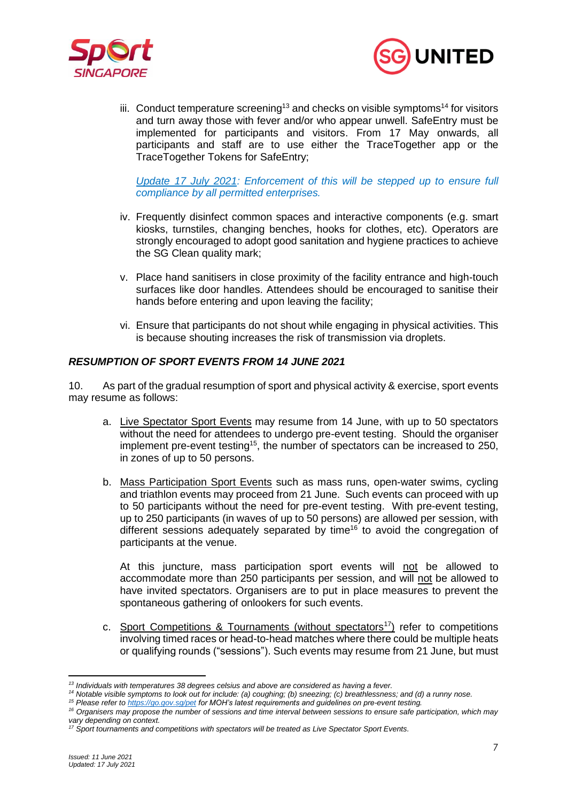



iii. Conduct temperature screening<sup>13</sup> and checks on visible symptoms<sup>14</sup> for visitors and turn away those with fever and/or who appear unwell. SafeEntry must be implemented for participants and visitors. From 17 May onwards, all participants and staff are to use either the TraceTogether app or the TraceTogether Tokens for SafeEntry;

*Update 17 July 2021: Enforcement of this will be stepped up to ensure full compliance by all permitted enterprises.*

- iv. Frequently disinfect common spaces and interactive components (e.g. smart kiosks, turnstiles, changing benches, hooks for clothes, etc). Operators are strongly encouraged to adopt good sanitation and hygiene practices to achieve the SG Clean quality mark;
- v. Place hand sanitisers in close proximity of the facility entrance and high-touch surfaces like door handles. Attendees should be encouraged to sanitise their hands before entering and upon leaving the facility;
- vi. Ensure that participants do not shout while engaging in physical activities. This is because shouting increases the risk of transmission via droplets.

## *RESUMPTION OF SPORT EVENTS FROM 14 JUNE 2021*

10. As part of the gradual resumption of sport and physical activity & exercise, sport events may resume as follows:

- a. Live Spectator Sport Events may resume from 14 June, with up to 50 spectators without the need for attendees to undergo pre-event testing. Should the organiser implement pre-event testing<sup>15</sup>, the number of spectators can be increased to 250, in zones of up to 50 persons.
- b. Mass Participation Sport Events such as mass runs, open-water swims, cycling and triathlon events may proceed from 21 June. Such events can proceed with up to 50 participants without the need for pre-event testing. With pre-event testing, up to 250 participants (in waves of up to 50 persons) are allowed per session, with different sessions adequately separated by time<sup>16</sup> to avoid the congregation of participants at the venue.

At this juncture, mass participation sport events will not be allowed to accommodate more than 250 participants per session, and will not be allowed to have invited spectators. Organisers are to put in place measures to prevent the spontaneous gathering of onlookers for such events.

c. Sport Competitions & Tournaments (without spectators<sup>17</sup>) refer to competitions involving timed races or head-to-head matches where there could be multiple heats or qualifying rounds ("sessions"). Such events may resume from 21 June, but must

*<sup>13</sup> Individuals with temperatures 38 degrees celsius and above are considered as having a fever.*

*<sup>14</sup> Notable visible symptoms to look out for include: (a) coughing; (b) sneezing; (c) breathlessness; and (d) a runny nose.*

*<sup>15</sup> Please refer to<https://go.gov.sg/pet> for MOH's latest requirements and guidelines on pre-event testing.* 

*<sup>16</sup> Organisers may propose the number of sessions and time interval between sessions to ensure safe participation, which may vary depending on context.*

*<sup>17</sup> Sport tournaments and competitions with spectators will be treated as Live Spectator Sport Events.*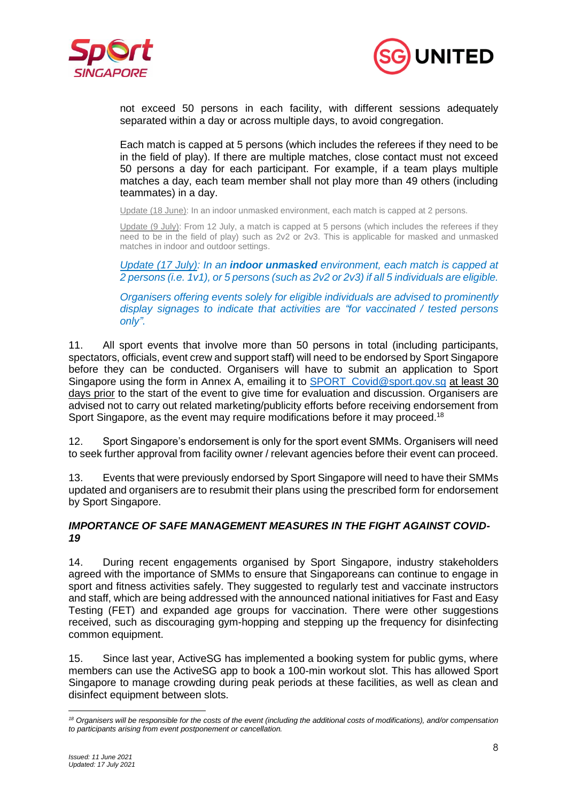



not exceed 50 persons in each facility, with different sessions adequately separated within a day or across multiple days, to avoid congregation.

Each match is capped at 5 persons (which includes the referees if they need to be in the field of play). If there are multiple matches, close contact must not exceed 50 persons a day for each participant. For example, if a team plays multiple matches a day, each team member shall not play more than 49 others (including teammates) in a day.

Update (18 June): In an indoor unmasked environment, each match is capped at 2 persons.

Update (9 July): From 12 July, a match is capped at 5 persons (which includes the referees if they need to be in the field of play) such as 2v2 or 2v3. This is applicable for masked and unmasked matches in indoor and outdoor settings.

*Update (17 July): In an indoor unmasked environment, each match is capped at 2 persons (i.e. 1v1), or 5 persons (such as 2v2 or 2v3) if all 5 individuals are eligible.*

*Organisers offering events solely for eligible individuals are advised to prominently display signages to indicate that activities are "for vaccinated / tested persons only".*

11. All sport events that involve more than 50 persons in total (including participants, spectators, officials, event crew and support staff) will need to be endorsed by Sport Singapore before they can be conducted. Organisers will have to submit an application to Sport Singapore using the form in Annex A, emailing it to SPORT Covid@sport.gov.sg at least 30 days prior to the start of the event to give time for evaluation and discussion. Organisers are advised not to carry out related marketing/publicity efforts before receiving endorsement from Sport Singapore, as the event may require modifications before it may proceed.<sup>18</sup>

12. Sport Singapore's endorsement is only for the sport event SMMs. Organisers will need to seek further approval from facility owner / relevant agencies before their event can proceed.

13. Events that were previously endorsed by Sport Singapore will need to have their SMMs updated and organisers are to resubmit their plans using the prescribed form for endorsement by Sport Singapore.

### *IMPORTANCE OF SAFE MANAGEMENT MEASURES IN THE FIGHT AGAINST COVID-19*

14. During recent engagements organised by Sport Singapore, industry stakeholders agreed with the importance of SMMs to ensure that Singaporeans can continue to engage in sport and fitness activities safely. They suggested to regularly test and vaccinate instructors and staff, which are being addressed with the announced national initiatives for Fast and Easy Testing (FET) and expanded age groups for vaccination. There were other suggestions received, such as discouraging gym-hopping and stepping up the frequency for disinfecting common equipment.

15. Since last year, ActiveSG has implemented a booking system for public gyms, where members can use the ActiveSG app to book a 100-min workout slot. This has allowed Sport Singapore to manage crowding during peak periods at these facilities, as well as clean and disinfect equipment between slots.

*<sup>18</sup> Organisers will be responsible for the costs of the event (including the additional costs of modifications), and/or compensation to participants arising from event postponement or cancellation.*